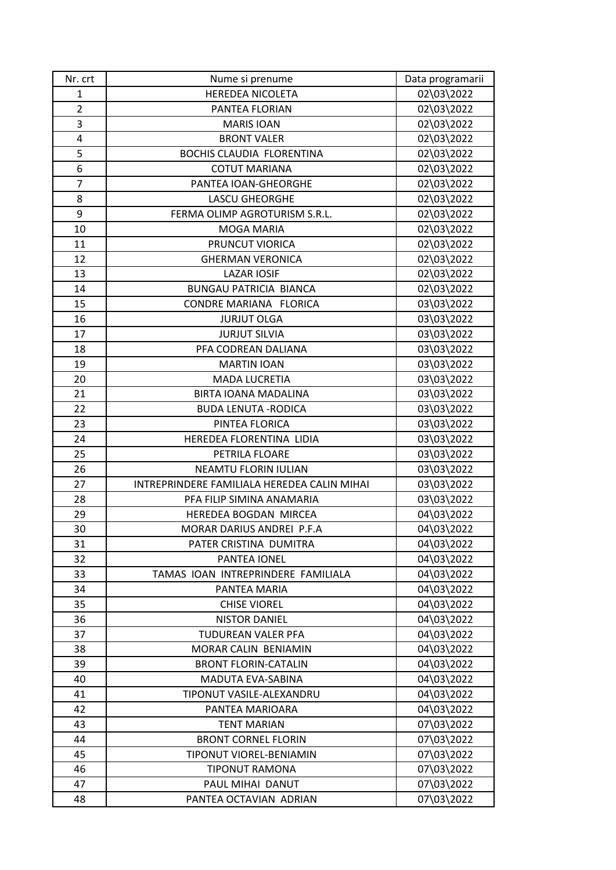| Nr. crt        | Nume si prenume                             | Data programarii |
|----------------|---------------------------------------------|------------------|
| $\mathbf{1}$   | HEREDEA NICOLETA                            | 02\03\2022       |
| $\overline{2}$ | PANTEA FLORIAN                              | 02\03\2022       |
| 3              | <b>MARIS IOAN</b>                           | 02\03\2022       |
| 4              | <b>BRONT VALER</b>                          | 02\03\2022       |
| 5              | <b>BOCHIS CLAUDIA FLORENTINA</b>            | 02\03\2022       |
| 6              | <b>COTUT MARIANA</b>                        | 02\03\2022       |
| $\overline{7}$ | PANTEA IOAN-GHEORGHE                        | 02\03\2022       |
| 8              | <b>LASCU GHEORGHE</b>                       | 02\03\2022       |
| 9              | FERMA OLIMP AGROTURISM S.R.L.               | 02\03\2022       |
| 10             | MOGA MARIA                                  | 02\03\2022       |
| 11             | PRUNCUT VIORICA                             | 02\03\2022       |
| 12             | <b>GHERMAN VERONICA</b>                     | 02\03\2022       |
| 13             | <b>LAZAR IOSIF</b>                          | 02\03\2022       |
| 14             | <b>BUNGAU PATRICIA BIANCA</b>               | 02\03\2022       |
| 15             | CONDRE MARIANA FLORICA                      | 03\03\2022       |
| 16             | <b>JURJUT OLGA</b>                          | 03\03\2022       |
| 17             | <b>JURJUT SILVIA</b>                        | 03\03\2022       |
| 18             | PFA CODREAN DALIANA                         | 03\03\2022       |
| 19             | <b>MARTIN IOAN</b>                          | 03\03\2022       |
| 20             | <b>MADA LUCRETIA</b>                        | 03\03\2022       |
| 21             | BIRTA IOANA MADALINA                        | 03\03\2022       |
| 22             | <b>BUDA LENUTA - RODICA</b>                 | 03\03\2022       |
| 23             | PINTEA FLORICA                              | 03\03\2022       |
| 24             | HEREDEA FLORENTINA LIDIA                    | 03\03\2022       |
| 25             | PETRILA FLOARE                              | 03\03\2022       |
| 26             | <b>NEAMTU FLORIN IULIAN</b>                 | 03\03\2022       |
| 27             | INTREPRINDERE FAMILIALA HEREDEA CALIN MIHAI | 03\03\2022       |
| 28             | PFA FILIP SIMINA ANAMARIA                   | 03\03\2022       |
| 29             | HEREDEA BOGDAN MIRCEA                       | 04\03\2022       |
| 30             | MORAR DARIUS ANDREI P.F.A                   | 04\03\2022       |
| 31             | PATER CRISTINA DUMITRA                      | 04\03\2022       |
| 32             | PANTEA IONEL                                | 04\03\2022       |
| 33             | TAMAS IOAN INTREPRINDERE FAMILIALA          | 04\03\2022       |
| 34             | PANTEA MARIA                                | 04\03\2022       |
| 35             | <b>CHISE VIOREL</b>                         | 04\03\2022       |
| 36             | <b>NISTOR DANIEL</b>                        | 04\03\2022       |
| 37             | TUDUREAN VALER PFA                          | 04\03\2022       |
| 38             | MORAR CALIN BENIAMIN                        | 04\03\2022       |
| 39             | <b>BRONT FLORIN-CATALIN</b>                 | 04\03\2022       |
| 40             | MADUTA EVA-SABINA                           | 04\03\2022       |
| 41             | TIPONUT VASILE-ALEXANDRU                    | 04\03\2022       |
| 42             | PANTEA MARIOARA                             | 04\03\2022       |
| 43             | <b>TENT MARIAN</b>                          | 07\03\2022       |
| 44             | <b>BRONT CORNEL FLORIN</b>                  | 07\03\2022       |
| 45             | TIPONUT VIOREL-BENIAMIN                     | 07\03\2022       |
| 46             | <b>TIPONUT RAMONA</b>                       | 07\03\2022       |
| 47             | PAUL MIHAI DANUT                            | 07\03\2022       |
| 48             | PANTEA OCTAVIAN ADRIAN                      | 07\03\2022       |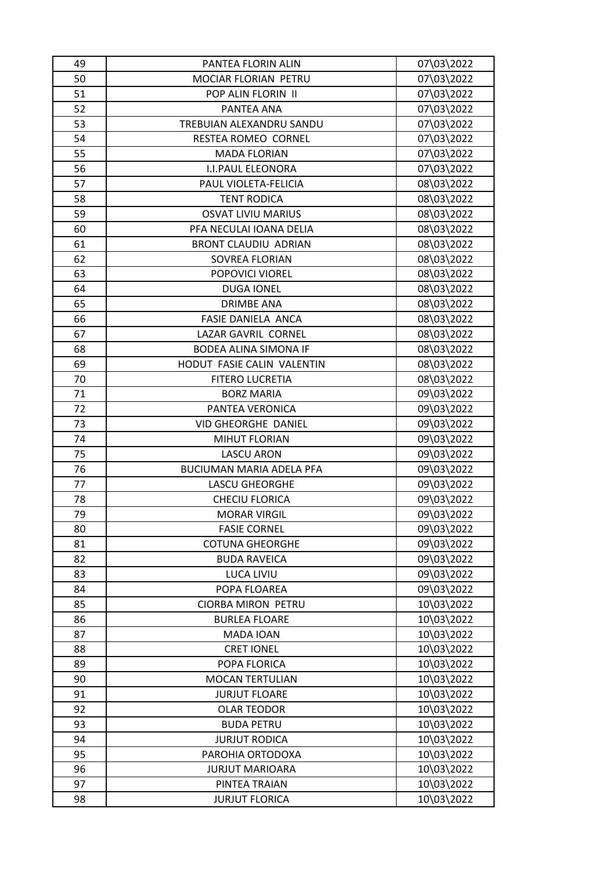| 49 | PANTEA FLORIN ALIN              | 07\03\2022 |
|----|---------------------------------|------------|
| 50 | MOCIAR FLORIAN PETRU            | 07\03\2022 |
| 51 | POP ALIN FLORIN II              | 07\03\2022 |
| 52 | PANTEA ANA                      | 07\03\2022 |
| 53 | TREBUIAN ALEXANDRU SANDU        | 07\03\2022 |
| 54 | RESTEA ROMEO CORNEL             | 07\03\2022 |
| 55 | <b>MADA FLORIAN</b>             | 07\03\2022 |
| 56 | <b>I.I.PAUL ELEONORA</b>        | 07\03\2022 |
| 57 | PAUL VIOLETA-FELICIA            | 08\03\2022 |
| 58 | <b>TENT RODICA</b>              | 08\03\2022 |
| 59 | <b>OSVAT LIVIU MARIUS</b>       | 08\03\2022 |
| 60 | PFA NECULAI IOANA DELIA         | 08\03\2022 |
| 61 | <b>BRONT CLAUDIU ADRIAN</b>     | 08\03\2022 |
| 62 | SOVREA FLORIAN                  | 08\03\2022 |
| 63 | POPOVICI VIOREL                 | 08\03\2022 |
| 64 | <b>DUGA IONEL</b>               | 08\03\2022 |
| 65 | <b>DRIMBE ANA</b>               | 08\03\2022 |
| 66 | FASIE DANIELA ANCA              | 08\03\2022 |
| 67 | LAZAR GAVRIL CORNEL             | 08\03\2022 |
| 68 | <b>BODEA ALINA SIMONA IF</b>    | 08\03\2022 |
| 69 | HODUT FASIE CALIN VALENTIN      | 08\03\2022 |
| 70 | <b>FITERO LUCRETIA</b>          | 08\03\2022 |
| 71 | <b>BORZ MARIA</b>               | 09\03\2022 |
| 72 | PANTEA VERONICA                 | 09\03\2022 |
| 73 | <b>VID GHEORGHE DANIEL</b>      | 09\03\2022 |
| 74 |                                 | 09\03\2022 |
|    | MIHUT FLORIAN                   |            |
| 75 | <b>LASCU ARON</b>               | 09\03\2022 |
| 76 | <b>BUCIUMAN MARIA ADELA PFA</b> | 09\03\2022 |
| 77 | <b>LASCU GHEORGHE</b>           | 09\03\2022 |
| 78 | <b>CHECIU FLORICA</b>           | 09\03\2022 |
| 79 | <b>MORAR VIRGIL</b>             | 09\03\2022 |
| 80 | <b>FASIE CORNEL</b>             | 09\03\2022 |
| 81 | <b>COTUNA GHEORGHE</b>          | 09\03\2022 |
| 82 | <b>BUDA RAVEICA</b>             | 09\03\2022 |
| 83 | <b>LUCA LIVIU</b>               | 09\03\2022 |
| 84 | POPA FLOAREA                    | 09\03\2022 |
| 85 | <b>CIORBA MIRON PETRU</b>       | 10\03\2022 |
| 86 | <b>BURLEA FLOARE</b>            | 10\03\2022 |
| 87 | MADA IOAN                       | 10\03\2022 |
| 88 | <b>CRET IONEL</b>               | 10\03\2022 |
| 89 | POPA FLORICA                    | 10\03\2022 |
| 90 | <b>MOCAN TERTULIAN</b>          | 10\03\2022 |
| 91 | <b>JURJUT FLOARE</b>            | 10\03\2022 |
| 92 | <b>OLAR TEODOR</b>              | 10\03\2022 |
| 93 | <b>BUDA PETRU</b>               | 10\03\2022 |
| 94 | <b>JURJUT RODICA</b>            | 10\03\2022 |
| 95 | PAROHIA ORTODOXA                | 10\03\2022 |
| 96 | <b>JURJUT MARIOARA</b>          | 10\03\2022 |
| 97 | PINTEA TRAIAN                   | 10\03\2022 |
| 98 | <b>JURJUT FLORICA</b>           | 10\03\2022 |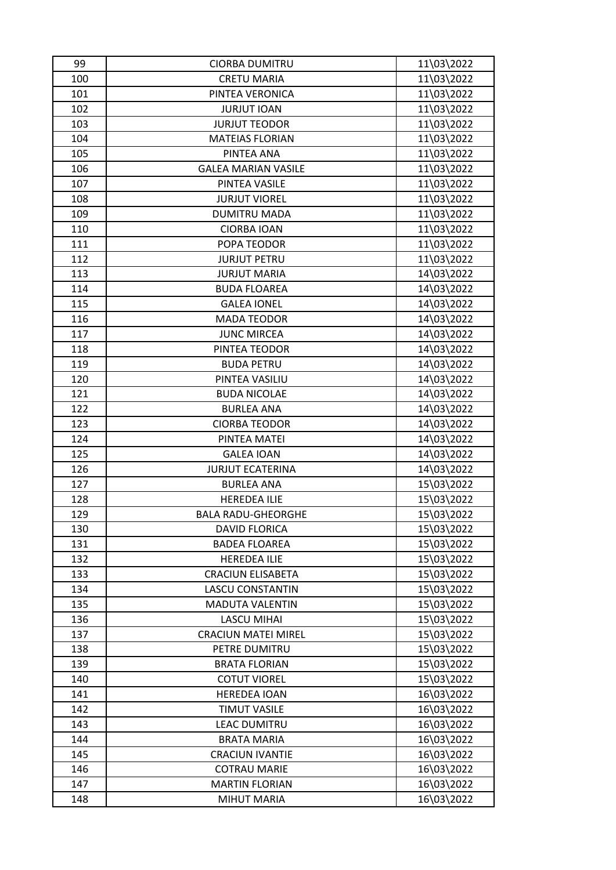| 99  | <b>CIORBA DUMITRU</b>      | 11\03\2022 |
|-----|----------------------------|------------|
| 100 | <b>CRETU MARIA</b>         | 11\03\2022 |
| 101 | PINTEA VERONICA            | 11\03\2022 |
| 102 | <b>JURJUT IOAN</b>         | 11\03\2022 |
| 103 | <b>JURJUT TEODOR</b>       | 11\03\2022 |
| 104 | <b>MATEIAS FLORIAN</b>     | 11\03\2022 |
| 105 | PINTEA ANA                 | 11\03\2022 |
| 106 | <b>GALEA MARIAN VASILE</b> | 11\03\2022 |
| 107 | PINTEA VASILE              | 11\03\2022 |
| 108 | <b>JURJUT VIOREL</b>       | 11\03\2022 |
| 109 | <b>DUMITRU MADA</b>        | 11\03\2022 |
| 110 | <b>CIORBA IOAN</b>         | 11\03\2022 |
| 111 | POPA TEODOR                | 11\03\2022 |
| 112 | <b>JURJUT PETRU</b>        | 11\03\2022 |
| 113 | <b>JURJUT MARIA</b>        | 14\03\2022 |
| 114 | <b>BUDA FLOAREA</b>        | 14\03\2022 |
| 115 | <b>GALEA IONEL</b>         | 14\03\2022 |
| 116 | <b>MADA TEODOR</b>         | 14\03\2022 |
| 117 | <b>JUNC MIRCEA</b>         | 14\03\2022 |
| 118 | PINTEA TEODOR              | 14\03\2022 |
| 119 | <b>BUDA PETRU</b>          | 14\03\2022 |
| 120 | PINTEA VASILIU             | 14\03\2022 |
| 121 | <b>BUDA NICOLAE</b>        | 14\03\2022 |
| 122 | <b>BURLEA ANA</b>          | 14\03\2022 |
| 123 | <b>CIORBA TEODOR</b>       | 14\03\2022 |
| 124 | PINTEA MATEI               | 14\03\2022 |
| 125 | <b>GALEA IOAN</b>          | 14\03\2022 |
| 126 | <b>JURJUT ECATERINA</b>    | 14\03\2022 |
| 127 |                            | 15\03\2022 |
|     | <b>BURLEA ANA</b>          |            |
| 128 | <b>HEREDEA ILIE</b>        | 15\03\2022 |
| 129 | <b>BALA RADU-GHEORGHE</b>  | 15\03\2022 |
| 130 | <b>DAVID FLORICA</b>       | 15\03\2022 |
| 131 | <b>BADEA FLOAREA</b>       | 15\03\2022 |
| 132 | <b>HEREDEA ILIE</b>        | 15\03\2022 |
| 133 | <b>CRACIUN ELISABETA</b>   | 15\03\2022 |
| 134 | <b>LASCU CONSTANTIN</b>    | 15\03\2022 |
| 135 | <b>MADUTA VALENTIN</b>     | 15\03\2022 |
| 136 | <b>LASCU MIHAI</b>         | 15\03\2022 |
| 137 | <b>CRACIUN MATEI MIREL</b> | 15\03\2022 |
| 138 | PETRE DUMITRU              | 15\03\2022 |
| 139 | <b>BRATA FLORIAN</b>       | 15\03\2022 |
| 140 | <b>COTUT VIOREL</b>        | 15\03\2022 |
| 141 | <b>HEREDEA IOAN</b>        | 16\03\2022 |
| 142 | <b>TIMUT VASILE</b>        | 16\03\2022 |
| 143 | <b>LEAC DUMITRU</b>        | 16\03\2022 |
| 144 | <b>BRATA MARIA</b>         | 16\03\2022 |
| 145 | <b>CRACIUN IVANTIE</b>     | 16\03\2022 |
| 146 | <b>COTRAU MARIE</b>        | 16\03\2022 |
| 147 | <b>MARTIN FLORIAN</b>      | 16\03\2022 |
| 148 | <b>MIHUT MARIA</b>         | 16\03\2022 |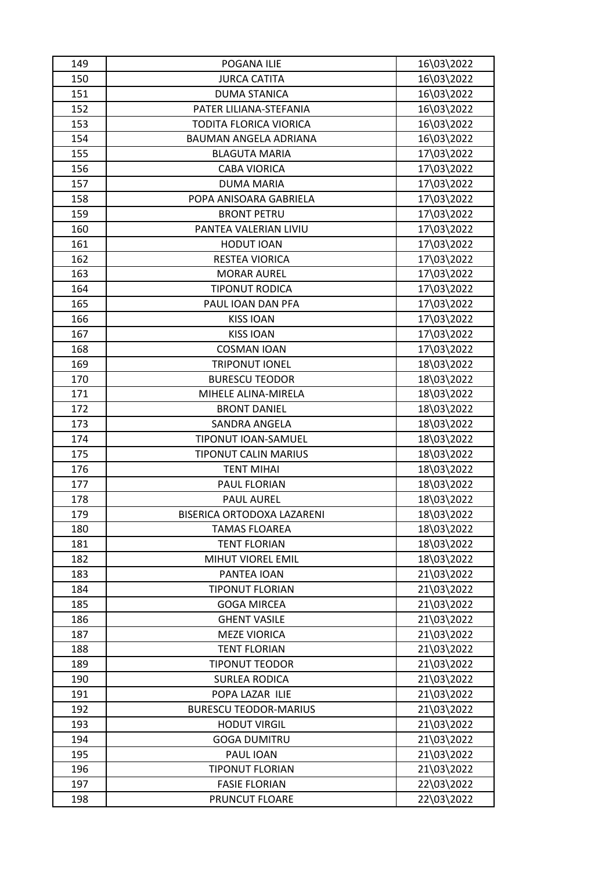| 149 | POGANA ILIE                  | 16\03\2022 |
|-----|------------------------------|------------|
| 150 | <b>JURCA CATITA</b>          | 16\03\2022 |
| 151 | <b>DUMA STANICA</b>          | 16\03\2022 |
| 152 | PATER LILIANA-STEFANIA       | 16\03\2022 |
| 153 | TODITA FLORICA VIORICA       | 16\03\2022 |
| 154 | BAUMAN ANGELA ADRIANA        | 16\03\2022 |
| 155 | <b>BLAGUTA MARIA</b>         | 17\03\2022 |
| 156 | <b>CABA VIORICA</b>          | 17\03\2022 |
| 157 | <b>DUMA MARIA</b>            | 17\03\2022 |
| 158 | POPA ANISOARA GABRIELA       | 17\03\2022 |
| 159 | <b>BRONT PETRU</b>           | 17\03\2022 |
| 160 | PANTEA VALERIAN LIVIU        | 17\03\2022 |
| 161 | <b>HODUT IOAN</b>            | 17\03\2022 |
| 162 | RESTEA VIORICA               | 17\03\2022 |
| 163 | <b>MORAR AUREL</b>           | 17\03\2022 |
| 164 | <b>TIPONUT RODICA</b>        | 17\03\2022 |
| 165 | PAUL IOAN DAN PFA            | 17\03\2022 |
| 166 | <b>KISS IOAN</b>             | 17\03\2022 |
| 167 | <b>KISS IOAN</b>             | 17\03\2022 |
| 168 | <b>COSMAN IOAN</b>           | 17\03\2022 |
| 169 | <b>TRIPONUT IONEL</b>        | 18\03\2022 |
| 170 | <b>BURESCU TEODOR</b>        | 18\03\2022 |
| 171 | MIHELE ALINA-MIRELA          | 18\03\2022 |
| 172 | <b>BRONT DANIEL</b>          | 18\03\2022 |
| 173 | SANDRA ANGELA                | 18\03\2022 |
| 174 | TIPONUT IOAN-SAMUEL          | 18\03\2022 |
| 175 | <b>TIPONUT CALIN MARIUS</b>  | 18\03\2022 |
| 176 | <b>TENT MIHAI</b>            | 18\03\2022 |
| 177 | PAUL FLORIAN                 | 18\03\2022 |
| 178 | <b>PAUL AUREL</b>            | 18\03\2022 |
| 179 | BISERICA ORTODOXA LAZARENI   | 18\03\2022 |
| 180 | <b>TAMAS FLOAREA</b>         | 18\03\2022 |
| 181 | <b>TENT FLORIAN</b>          | 18\03\2022 |
| 182 | MIHUT VIOREL EMIL            | 18\03\2022 |
| 183 | PANTEA IOAN                  | 21\03\2022 |
| 184 | <b>TIPONUT FLORIAN</b>       | 21\03\2022 |
| 185 | <b>GOGA MIRCEA</b>           | 21\03\2022 |
| 186 | <b>GHENT VASILE</b>          | 21\03\2022 |
| 187 | <b>MEZE VIORICA</b>          | 21\03\2022 |
| 188 | <b>TENT FLORIAN</b>          | 21\03\2022 |
| 189 | <b>TIPONUT TEODOR</b>        | 21\03\2022 |
| 190 | <b>SURLEA RODICA</b>         | 21\03\2022 |
| 191 | POPA LAZAR ILIE              | 21\03\2022 |
| 192 | <b>BURESCU TEODOR-MARIUS</b> | 21\03\2022 |
| 193 | <b>HODUT VIRGIL</b>          | 21\03\2022 |
| 194 | <b>GOGA DUMITRU</b>          | 21\03\2022 |
| 195 | PAUL IOAN                    | 21\03\2022 |
| 196 | <b>TIPONUT FLORIAN</b>       | 21\03\2022 |
| 197 | <b>FASIE FLORIAN</b>         | 22\03\2022 |
| 198 | PRUNCUT FLOARE               | 22\03\2022 |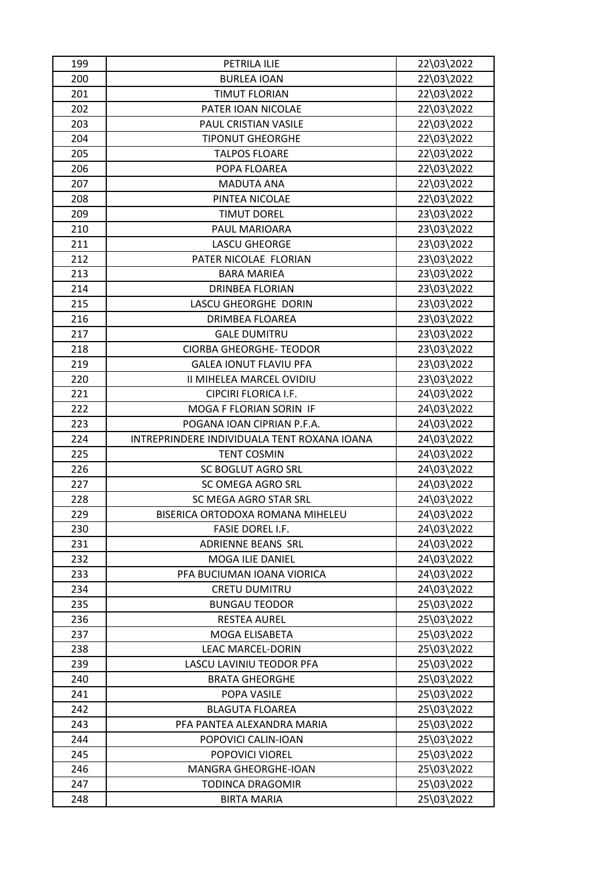| 199 | PETRILA ILIE                                | 22\03\2022 |
|-----|---------------------------------------------|------------|
| 200 | <b>BURLEA IOAN</b>                          | 22\03\2022 |
| 201 | <b>TIMUT FLORIAN</b>                        | 22\03\2022 |
| 202 | PATER IOAN NICOLAE                          | 22\03\2022 |
| 203 | PAUL CRISTIAN VASILE                        | 22\03\2022 |
| 204 | <b>TIPONUT GHEORGHE</b>                     | 22\03\2022 |
| 205 | <b>TALPOS FLOARE</b>                        | 22\03\2022 |
| 206 | POPA FLOAREA                                | 22\03\2022 |
| 207 | <b>MADUTA ANA</b>                           | 22\03\2022 |
| 208 | PINTEA NICOLAE                              | 22\03\2022 |
| 209 | <b>TIMUT DOREL</b>                          | 23\03\2022 |
| 210 | PAUL MARIOARA                               | 23\03\2022 |
| 211 | <b>LASCU GHEORGE</b>                        | 23\03\2022 |
| 212 | PATER NICOLAE FLORIAN                       | 23\03\2022 |
| 213 | <b>BARA MARIEA</b>                          | 23\03\2022 |
| 214 | <b>DRINBEA FLORIAN</b>                      | 23\03\2022 |
| 215 | LASCU GHEORGHE DORIN                        | 23\03\2022 |
| 216 | <b>DRIMBEA FLOAREA</b>                      | 23\03\2022 |
| 217 | <b>GALE DUMITRU</b>                         | 23\03\2022 |
| 218 | <b>CIORBA GHEORGHE- TEODOR</b>              | 23\03\2022 |
| 219 | <b>GALEA IONUT FLAVIU PFA</b>               | 23\03\2022 |
| 220 | II MIHELEA MARCEL OVIDIU                    | 23\03\2022 |
| 221 | CIPCIRI FLORICA I.F.                        | 24\03\2022 |
| 222 | MOGA F FLORIAN SORIN IF                     | 24\03\2022 |
| 223 | POGANA IOAN CIPRIAN P.F.A.                  | 24\03\2022 |
| 224 | INTREPRINDERE INDIVIDUALA TENT ROXANA IOANA | 24\03\2022 |
| 225 | <b>TENT COSMIN</b>                          | 24\03\2022 |
| 226 | <b>SC BOGLUT AGRO SRL</b>                   | 24\03\2022 |
| 227 | SC OMEGA AGRO SRL                           | 24\03\2022 |
| 228 | SC MEGA AGRO STAR SRL                       | 24\03\2022 |
| 229 | BISERICA ORTODOXA ROMANA MIHELEU            | 24\03\2022 |
| 230 | <b>FASIE DOREL I.F.</b>                     | 24\03\2022 |
| 231 | <b>ADRIENNE BEANS SRL</b>                   | 24\03\2022 |
| 232 | MOGA ILIE DANIEL                            | 24\03\2022 |
| 233 | PFA BUCIUMAN IOANA VIORICA                  | 24\03\2022 |
| 234 | <b>CRETU DUMITRU</b>                        | 24\03\2022 |
| 235 | <b>BUNGAU TEODOR</b>                        | 25\03\2022 |
| 236 | <b>RESTEA AUREL</b>                         | 25\03\2022 |
| 237 | MOGA ELISABETA                              | 25\03\2022 |
| 238 | <b>LEAC MARCEL-DORIN</b>                    | 25\03\2022 |
| 239 | LASCU LAVINIU TEODOR PFA                    | 25\03\2022 |
| 240 | <b>BRATA GHEORGHE</b>                       | 25\03\2022 |
| 241 | POPA VASILE                                 | 25\03\2022 |
| 242 | <b>BLAGUTA FLOAREA</b>                      | 25\03\2022 |
| 243 | PFA PANTEA ALEXANDRA MARIA                  | 25\03\2022 |
| 244 | POPOVICI CALIN-IOAN                         | 25\03\2022 |
| 245 | POPOVICI VIOREL                             | 25\03\2022 |
| 246 | MANGRA GHEORGHE-IOAN                        | 25\03\2022 |
| 247 | <b>TODINCA DRAGOMIR</b>                     | 25\03\2022 |
|     |                                             |            |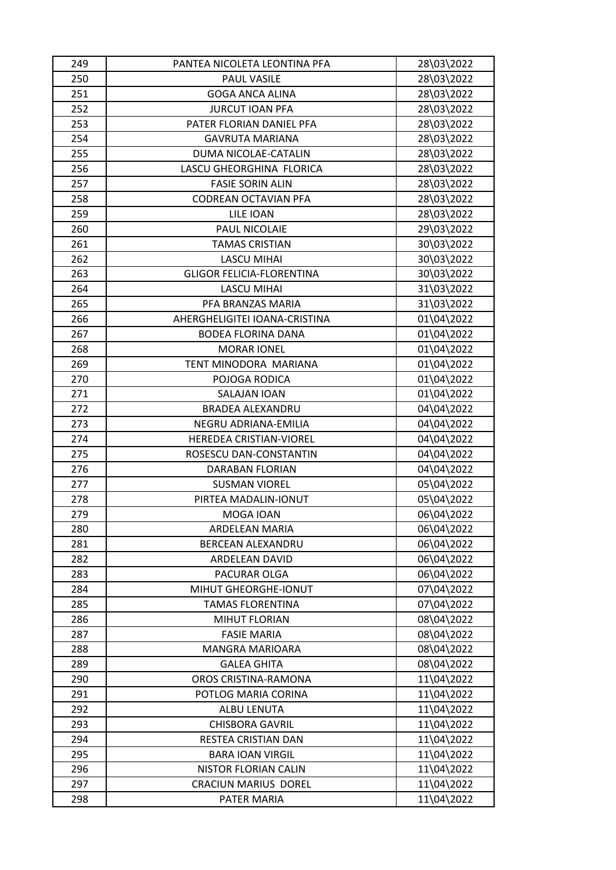| 249 | PANTEA NICOLETA LEONTINA PFA     | 28\03\2022 |
|-----|----------------------------------|------------|
| 250 | PAUL VASILE                      | 28\03\2022 |
| 251 | <b>GOGA ANCA ALINA</b>           | 28\03\2022 |
| 252 | <b>JURCUT IOAN PFA</b>           | 28\03\2022 |
| 253 | PATER FLORIAN DANIEL PFA         | 28\03\2022 |
| 254 | <b>GAVRUTA MARIANA</b>           | 28\03\2022 |
| 255 | DUMA NICOLAE-CATALIN             | 28\03\2022 |
| 256 | LASCU GHEORGHINA FLORICA         | 28\03\2022 |
| 257 | <b>FASIE SORIN ALIN</b>          | 28\03\2022 |
| 258 | CODREAN OCTAVIAN PFA             | 28\03\2022 |
| 259 | LILE IOAN                        | 28\03\2022 |
| 260 | PAUL NICOLAIE                    | 29\03\2022 |
| 261 | <b>TAMAS CRISTIAN</b>            | 30\03\2022 |
| 262 | <b>LASCU MIHAI</b>               | 30\03\2022 |
| 263 | <b>GLIGOR FELICIA-FLORENTINA</b> | 30\03\2022 |
| 264 | <b>LASCU MIHAI</b>               | 31\03\2022 |
| 265 | PFA BRANZAS MARIA                | 31\03\2022 |
| 266 | AHERGHELIGITEI IOANA-CRISTINA    | 01\04\2022 |
| 267 | <b>BODEA FLORINA DANA</b>        | 01\04\2022 |
| 268 | <b>MORAR IONEL</b>               | 01\04\2022 |
| 269 | TENT MINODORA MARIANA            | 01\04\2022 |
| 270 | POJOGA RODICA                    | 01\04\2022 |
| 271 | SALAJAN IOAN                     | 01\04\2022 |
| 272 | <b>BRADEA ALEXANDRU</b>          | 04\04\2022 |
| 273 | NEGRU ADRIANA-EMILIA             | 04\04\2022 |
| 274 | HEREDEA CRISTIAN-VIOREL          | 04\04\2022 |
| 275 | ROSESCU DAN-CONSTANTIN           | 04\04\2022 |
| 276 | DARABAN FLORIAN                  | 04\04\2022 |
| 277 | <b>SUSMAN VIOREL</b>             | 05\04\2022 |
| 278 | PIRTEA MADALIN-IONUT             | 05\04\2022 |
| 279 | MOGA IOAN                        | 06\04\2022 |
| 280 | ARDELEAN MARIA                   | 06\04\2022 |
| 281 | BERCEAN ALEXANDRU                | 06\04\2022 |
| 282 | ARDELEAN DAVID                   | 06\04\2022 |
| 283 | PACURAR OLGA                     | 06\04\2022 |
| 284 | MIHUT GHEORGHE-IONUT             | 07\04\2022 |
| 285 | <b>TAMAS FLORENTINA</b>          | 07\04\2022 |
| 286 | <b>MIHUT FLORIAN</b>             | 08\04\2022 |
| 287 | <b>FASIE MARIA</b>               | 08\04\2022 |
| 288 | <b>MANGRA MARIOARA</b>           | 08\04\2022 |
| 289 | <b>GALEA GHITA</b>               | 08\04\2022 |
| 290 | OROS CRISTINA-RAMONA             | 11\04\2022 |
| 291 | POTLOG MARIA CORINA              | 11\04\2022 |
| 292 | ALBU LENUTA                      | 11\04\2022 |
| 293 | <b>CHISBORA GAVRIL</b>           | 11\04\2022 |
| 294 | RESTEA CRISTIAN DAN              | 11\04\2022 |
| 295 | <b>BARA IOAN VIRGIL</b>          | 11\04\2022 |
| 296 | NISTOR FLORIAN CALIN             | 11\04\2022 |
| 297 | <b>CRACIUN MARIUS DOREL</b>      | 11\04\2022 |
| 298 | PATER MARIA                      | 11\04\2022 |
|     |                                  |            |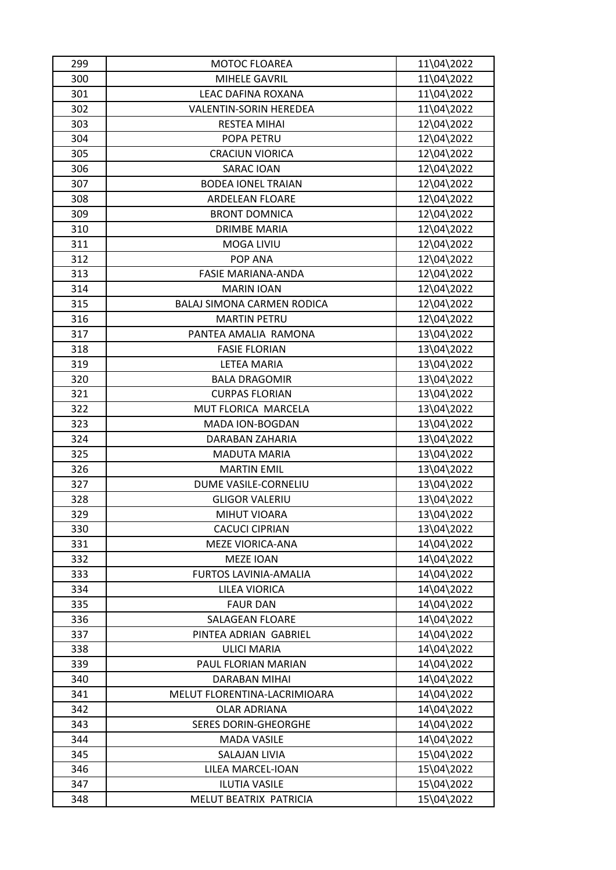| 299        | <b>MOTOC FLOAREA</b>          | 11\04\2022               |
|------------|-------------------------------|--------------------------|
| 300        | MIHELE GAVRIL                 | 11\04\2022               |
| 301        | LEAC DAFINA ROXANA            | 11\04\2022               |
| 302        | <b>VALENTIN-SORIN HEREDEA</b> | 11\04\2022               |
| 303        | <b>RESTEA MIHAI</b>           | 12\04\2022               |
| 304        | POPA PETRU                    | 12\04\2022               |
| 305        | <b>CRACIUN VIORICA</b>        | 12\04\2022               |
| 306        | <b>SARAC IOAN</b>             | 12\04\2022               |
| 307        | <b>BODEA IONEL TRAIAN</b>     | 12\04\2022               |
| 308        | <b>ARDELEAN FLOARE</b>        | 12\04\2022               |
| 309        | <b>BRONT DOMNICA</b>          | 12\04\2022               |
| 310        | <b>DRIMBE MARIA</b>           | 12\04\2022               |
| 311        | <b>MOGA LIVIU</b>             | 12\04\2022               |
| 312        | POP ANA                       | 12\04\2022               |
| 313        | <b>FASIE MARIANA-ANDA</b>     | 12\04\2022               |
| 314        | <b>MARIN IOAN</b>             | 12\04\2022               |
| 315        | BALAJ SIMONA CARMEN RODICA    | 12\04\2022               |
| 316        | <b>MARTIN PETRU</b>           | 12\04\2022               |
| 317        | PANTEA AMALIA RAMONA          | 13\04\2022               |
| 318        | <b>FASIE FLORIAN</b>          | 13\04\2022               |
| 319        | <b>LETEA MARIA</b>            | 13\04\2022               |
| 320        | <b>BALA DRAGOMIR</b>          | 13\04\2022               |
| 321        | <b>CURPAS FLORIAN</b>         | 13\04\2022               |
| 322        | MUT FLORICA MARCELA           | 13\04\2022               |
| 323        | MADA ION-BOGDAN               | 13\04\2022               |
| 324        | DARABAN ZAHARIA               | 13\04\2022               |
| 325        | <b>MADUTA MARIA</b>           | 13\04\2022               |
| 326        | <b>MARTIN EMIL</b>            | 13\04\2022               |
| 327        | DUME VASILE-CORNELIU          |                          |
|            | <b>GLIGOR VALERIU</b>         | 13\04\2022<br>13\04\2022 |
| 328<br>329 | <b>MIHUT VIOARA</b>           | 13\04\2022               |
|            | <b>CACUCI CIPRIAN</b>         |                          |
| 330        |                               | 13\04\2022               |
| 331        | <b>MEZE VIORICA-ANA</b>       | 14\04\2022               |
| 332        | <b>MEZE IOAN</b>              | 14\04\2022               |
| 333        | <b>FURTOS LAVINIA-AMALIA</b>  | 14\04\2022               |
| 334        | <b>LILEA VIORICA</b>          | 14\04\2022               |
| 335        | <b>FAUR DAN</b>               | 14\04\2022               |
| 336        | <b>SALAGEAN FLOARE</b>        | 14\04\2022               |
| 337        | PINTEA ADRIAN GABRIEL         | 14\04\2022               |
| 338        | <b>ULICI MARIA</b>            | 14\04\2022               |
| 339        | PAUL FLORIAN MARIAN           | 14\04\2022               |
| 340        | DARABAN MIHAI                 | 14\04\2022               |
| 341        | MELUT FLORENTINA-LACRIMIOARA  | 14\04\2022               |
| 342        | <b>OLAR ADRIANA</b>           | 14\04\2022               |
| 343        | <b>SERES DORIN-GHEORGHE</b>   | 14\04\2022               |
| 344        | <b>MADA VASILE</b>            | 14\04\2022               |
| 345        | <b>SALAJAN LIVIA</b>          | 15\04\2022               |
| 346        | LILEA MARCEL-IOAN             | 15\04\2022               |
| 347        | <b>ILUTIA VASILE</b>          | 15\04\2022               |
| 348        | MELUT BEATRIX PATRICIA        | 15\04\2022               |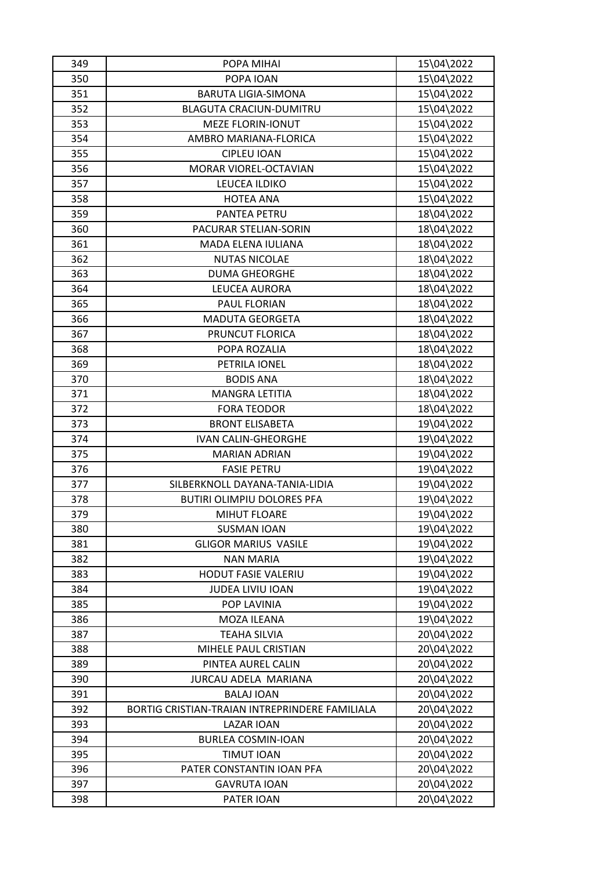| 349 | POPA MIHAI                                     | 15\04\2022 |
|-----|------------------------------------------------|------------|
| 350 | POPA IOAN                                      | 15\04\2022 |
| 351 | <b>BARUTA LIGIA-SIMONA</b>                     | 15\04\2022 |
| 352 | <b>BLAGUTA CRACIUN-DUMITRU</b>                 | 15\04\2022 |
| 353 | <b>MEZE FLORIN-IONUT</b>                       | 15\04\2022 |
| 354 | AMBRO MARIANA-FLORICA                          | 15\04\2022 |
| 355 | <b>CIPLEU IOAN</b>                             | 15\04\2022 |
| 356 | <b>MORAR VIOREL-OCTAVIAN</b>                   | 15\04\2022 |
| 357 | LEUCEA ILDIKO                                  | 15\04\2022 |
| 358 | <b>HOTEA ANA</b>                               | 15\04\2022 |
| 359 | PANTEA PETRU                                   | 18\04\2022 |
| 360 | PACURAR STELIAN-SORIN                          | 18\04\2022 |
| 361 | MADA ELENA IULIANA                             | 18\04\2022 |
| 362 | <b>NUTAS NICOLAE</b>                           | 18\04\2022 |
| 363 | <b>DUMA GHEORGHE</b>                           | 18\04\2022 |
| 364 | LEUCEA AURORA                                  | 18\04\2022 |
| 365 | PAUL FLORIAN                                   | 18\04\2022 |
| 366 | <b>MADUTA GEORGETA</b>                         | 18\04\2022 |
| 367 | PRUNCUT FLORICA                                | 18\04\2022 |
| 368 | POPA ROZALIA                                   | 18\04\2022 |
| 369 | PETRILA IONEL                                  | 18\04\2022 |
| 370 | <b>BODIS ANA</b>                               | 18\04\2022 |
| 371 | <b>MANGRA LETITIA</b>                          | 18\04\2022 |
| 372 | <b>FORA TEODOR</b>                             | 18\04\2022 |
| 373 | <b>BRONT ELISABETA</b>                         | 19\04\2022 |
| 374 | <b>IVAN CALIN-GHEORGHE</b>                     | 19\04\2022 |
| 375 | <b>MARIAN ADRIAN</b>                           | 19\04\2022 |
| 376 | <b>FASIE PETRU</b>                             | 19\04\2022 |
| 377 | SILBERKNOLL DAYANA-TANIA-LIDIA                 | 19\04\2022 |
| 378 | <b>BUTIRI OLIMPIU DOLORES PFA</b>              | 19\04\2022 |
| 379 | <b>MIHUT FLOARE</b>                            | 19\04\2022 |
| 380 | <b>SUSMAN IOAN</b>                             | 19\04\2022 |
| 381 | <b>GLIGOR MARIUS VASILE</b>                    | 19\04\2022 |
| 382 | <b>NAN MARIA</b>                               | 19\04\2022 |
| 383 | HODUT FASIE VALERIU                            | 19\04\2022 |
| 384 | JUDEA LIVIU IOAN                               | 19\04\2022 |
| 385 | POP LAVINIA                                    | 19\04\2022 |
| 386 | MOZA ILEANA                                    | 19\04\2022 |
| 387 | <b>TEAHA SILVIA</b>                            | 20\04\2022 |
| 388 | MIHELE PAUL CRISTIAN                           | 20\04\2022 |
| 389 | PINTEA AUREL CALIN                             | 20\04\2022 |
| 390 | JURCAU ADELA MARIANA                           | 20\04\2022 |
| 391 | <b>BALAJ IOAN</b>                              | 20\04\2022 |
| 392 | BORTIG CRISTIAN-TRAIAN INTREPRINDERE FAMILIALA | 20\04\2022 |
| 393 | <b>LAZAR IOAN</b>                              | 20\04\2022 |
| 394 | <b>BURLEA COSMIN-IOAN</b>                      | 20\04\2022 |
| 395 | <b>TIMUT IOAN</b>                              | 20\04\2022 |
| 396 | PATER CONSTANTIN IOAN PFA                      | 20\04\2022 |
| 397 | <b>GAVRUTA IOAN</b>                            | 20\04\2022 |
| 398 | PATER IOAN                                     | 20\04\2022 |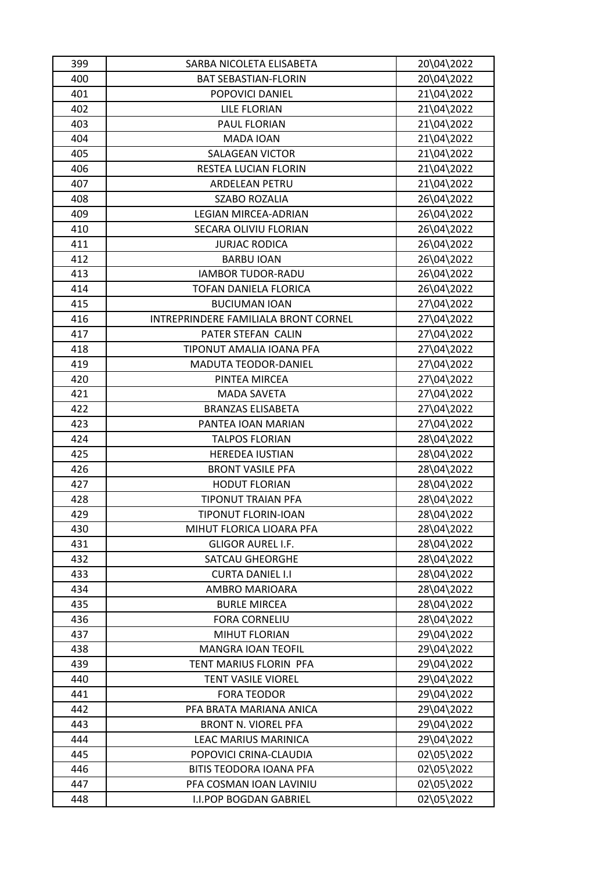| 399        | SARBA NICOLETA ELISABETA              | 20\04\2022 |
|------------|---------------------------------------|------------|
| 400        | <b>BAT SEBASTIAN-FLORIN</b>           | 20\04\2022 |
| 401        | POPOVICI DANIEL                       | 21\04\2022 |
| 402        | <b>LILE FLORIAN</b>                   | 21\04\2022 |
| 403        | PAUL FLORIAN                          | 21\04\2022 |
| 404        | MADA IOAN                             | 21\04\2022 |
| 405        | SALAGEAN VICTOR                       | 21\04\2022 |
| 406        | RESTEA LUCIAN FLORIN                  | 21\04\2022 |
| 407        | ARDELEAN PETRU                        | 21\04\2022 |
| 408        | <b>SZABO ROZALIA</b>                  | 26\04\2022 |
| 409        | <b>LEGIAN MIRCEA-ADRIAN</b>           | 26\04\2022 |
| 410        | SECARA OLIVIU FLORIAN                 | 26\04\2022 |
| 411        | <b>JURJAC RODICA</b>                  | 26\04\2022 |
| 412        | <b>BARBU IOAN</b>                     | 26\04\2022 |
| 413        | <b>IAMBOR TUDOR-RADU</b>              | 26\04\2022 |
| 414        | TOFAN DANIELA FLORICA                 | 26\04\2022 |
| 415        | <b>BUCIUMAN IOAN</b>                  | 27\04\2022 |
| 416        | INTREPRINDERE FAMILIALA BRONT CORNEL  | 27\04\2022 |
| 417        | PATER STEFAN CALIN                    | 27\04\2022 |
| 418        | TIPONUT AMALIA IOANA PFA              | 27\04\2022 |
| 419        | MADUTA TEODOR-DANIEL                  | 27\04\2022 |
| 420        | PINTEA MIRCEA                         | 27\04\2022 |
| 421        | <b>MADA SAVETA</b>                    | 27\04\2022 |
| 422        | <b>BRANZAS ELISABETA</b>              | 27\04\2022 |
| 423        | PANTEA IOAN MARIAN                    | 27\04\2022 |
| 424        | <b>TALPOS FLORIAN</b>                 | 28\04\2022 |
| 425        | <b>HEREDEA IUSTIAN</b>                | 28\04\2022 |
| 426        | <b>BRONT VASILE PFA</b>               | 28\04\2022 |
| 427        | <b>HODUT FLORIAN</b>                  | 28\04\2022 |
| 428        | <b>TIPONUT TRAIAN PFA</b>             | 28\04\2022 |
| 429        | <b>TIPONUT FLORIN-IOAN</b>            | 28\04\2022 |
| 430        | MIHUT FLORICA LIOARA PFA              | 28\04\2022 |
| 431        | <b>GLIGOR AUREL I.F.</b>              | 28\04\2022 |
| 432        | <b>SATCAU GHEORGHE</b>                | 28\04\2022 |
| 433        | <b>CURTA DANIEL I.I</b>               | 28\04\2022 |
| 434        | AMBRO MARIOARA                        | 28\04\2022 |
| 435        | <b>BURLE MIRCEA</b>                   | 28\04\2022 |
|            |                                       | 28\04\2022 |
| 436<br>437 | <b>FORA CORNELIU</b><br>MIHUT FLORIAN | 29\04\2022 |
|            | <b>MANGRA IOAN TEOFIL</b>             |            |
| 438        |                                       | 29\04\2022 |
| 439        | TENT MARIUS FLORIN PFA                | 29\04\2022 |
| 440        | <b>TENT VASILE VIOREL</b>             | 29\04\2022 |
| 441        | <b>FORA TEODOR</b>                    | 29\04\2022 |
| 442        | PFA BRATA MARIANA ANICA               | 29\04\2022 |
| 443        | <b>BRONT N. VIOREL PFA</b>            | 29\04\2022 |
| 444        | LEAC MARIUS MARINICA                  | 29\04\2022 |
| 445        | POPOVICI CRINA-CLAUDIA                | 02\05\2022 |
| 446        | <b>BITIS TEODORA IOANA PFA</b>        | 02\05\2022 |
| 447        | PFA COSMAN IOAN LAVINIU               | 02\05\2022 |
| 448        | <b>I.I.POP BOGDAN GABRIEL</b>         | 02\05\2022 |